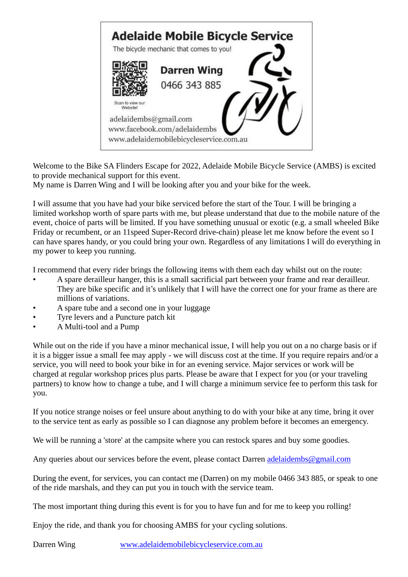

Welcome to the Bike SA Flinders Escape for 2022, Adelaide Mobile Bicycle Service (AMBS) is excited to provide mechanical support for this event.

My name is Darren Wing and I will be looking after you and your bike for the week.

I will assume that you have had your bike serviced before the start of the Tour. I will be bringing a limited workshop worth of spare parts with me, but please understand that due to the mobile nature of the event, choice of parts will be limited. If you have something unusual or exotic (e.g. a small wheeled Bike Friday or recumbent, or an 11speed Super-Record drive-chain) please let me know before the event so I can have spares handy, or you could bring your own. Regardless of any limitations I will do everything in my power to keep you running.

I recommend that every rider brings the following items with them each day whilst out on the route:

- A spare derailleur hanger, this is a small sacrificial part between your frame and rear derailleur. They are bike specific and it's unlikely that I will have the correct one for your frame as there are millions of variations.
- A spare tube and a second one in your luggage
- Tyre levers and a Puncture patch kit
- A Multi-tool and a Pump

While out on the ride if you have a minor mechanical issue, I will help you out on a no charge basis or if it is a bigger issue a small fee may apply - we will discuss cost at the time. If you require repairs and/or a service, you will need to book your bike in for an evening service. Major services or work will be charged at regular workshop prices plus parts. Please be aware that I expect for you (or your traveling partners) to know how to change a tube, and I will charge a minimum service fee to perform this task for you.

If you notice strange noises or feel unsure about anything to do with your bike at any time, bring it over to the service tent as early as possible so I can diagnose any problem before it becomes an emergency.

We will be running a 'store' at the campsite where you can restock spares and buy some goodies.

Any queries about our services before the event, please contact Darren [adelaidembs@gmail.com](mailto:adelaidembs@gmail.com)

During the event, for services, you can contact me (Darren) on my mobile 0466 343 885, or speak to one of the ride marshals, and they can put you in touch with the service team.

The most important thing during this event is for you to have fun and for me to keep you rolling!

Enjoy the ride, and thank you for choosing AMBS for your cycling solutions.